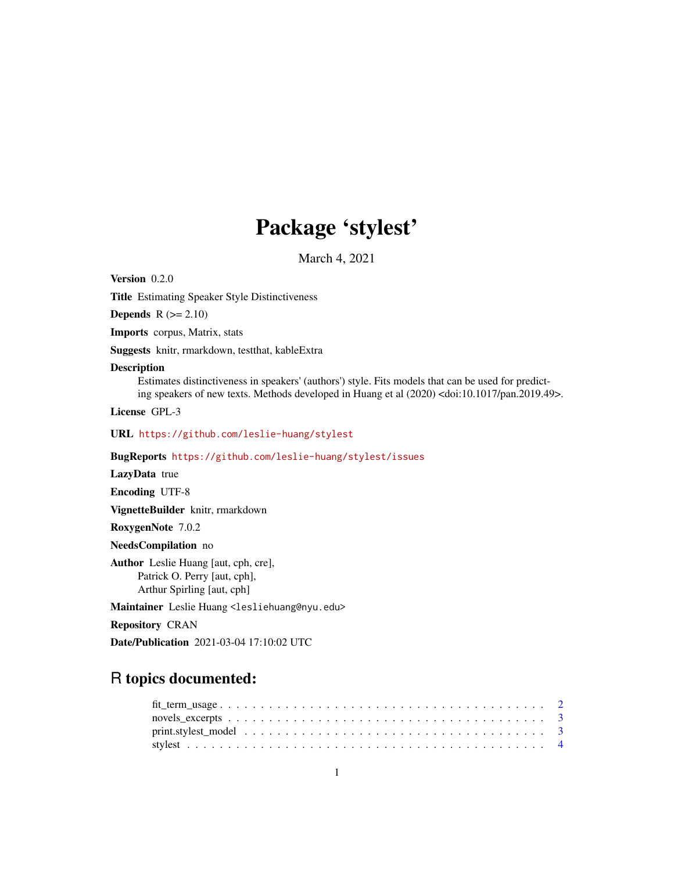## Package 'stylest'

March 4, 2021

Version 0.2.0

Title Estimating Speaker Style Distinctiveness

**Depends**  $R$  ( $>= 2.10$ )

Imports corpus, Matrix, stats

Suggests knitr, rmarkdown, testthat, kableExtra

#### Description

Estimates distinctiveness in speakers' (authors') style. Fits models that can be used for predicting speakers of new texts. Methods developed in Huang et al (2020) <doi:10.1017/pan.2019.49>.

License GPL-3

URL <https://github.com/leslie-huang/stylest>

BugReports <https://github.com/leslie-huang/stylest/issues>

LazyData true

Encoding UTF-8

VignetteBuilder knitr, rmarkdown

RoxygenNote 7.0.2

NeedsCompilation no

Author Leslie Huang [aut, cph, cre], Patrick O. Perry [aut, cph], Arthur Spirling [aut, cph]

Maintainer Leslie Huang <lesliehuang@nyu.edu>

Repository CRAN

Date/Publication 2021-03-04 17:10:02 UTC

### R topics documented: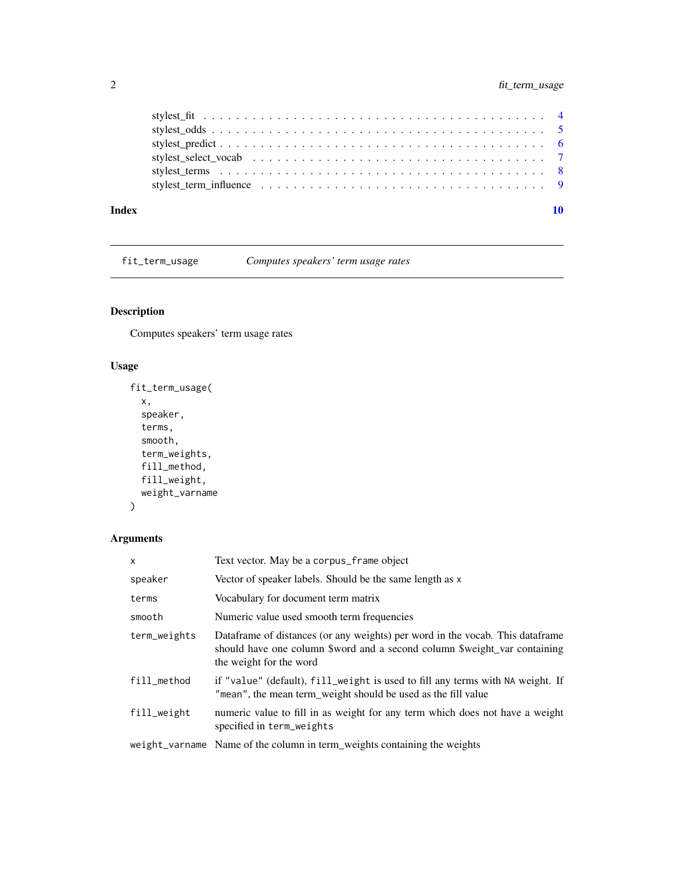<span id="page-1-0"></span>

| Index |  |
|-------|--|
|       |  |
|       |  |
|       |  |
|       |  |
|       |  |
|       |  |

fit\_term\_usage *Computes speakers' term usage rates*

#### Description

Computes speakers' term usage rates

#### Usage

```
fit_term_usage(
 x,
  speaker,
 terms,
  smooth,
  term_weights,
 fill_method,
 fill_weight,
 weight_varname
)
```
#### Arguments

| $\mathsf{x}$ | Text vector. May be a corpus_frame object                                                                                                                                             |
|--------------|---------------------------------------------------------------------------------------------------------------------------------------------------------------------------------------|
| speaker      | Vector of speaker labels. Should be the same length as x                                                                                                                              |
| terms        | Vocabulary for document term matrix                                                                                                                                                   |
| smooth       | Numeric value used smooth term frequencies                                                                                                                                            |
| term_weights | Dataframe of distances (or any weights) per word in the vocab. This dataframe<br>should have one column \$word and a second column \$weight_var containing<br>the weight for the word |
| fill_method  | if "value" (default), fill_weight is used to fill any terms with NA weight. If<br>"mean", the mean term_weight should be used as the fill value                                       |
| fill_weight  | numeric value to fill in as weight for any term which does not have a weight<br>specified in term_weights                                                                             |
|              | weight_varname Name of the column in term_weights containing the weights                                                                                                              |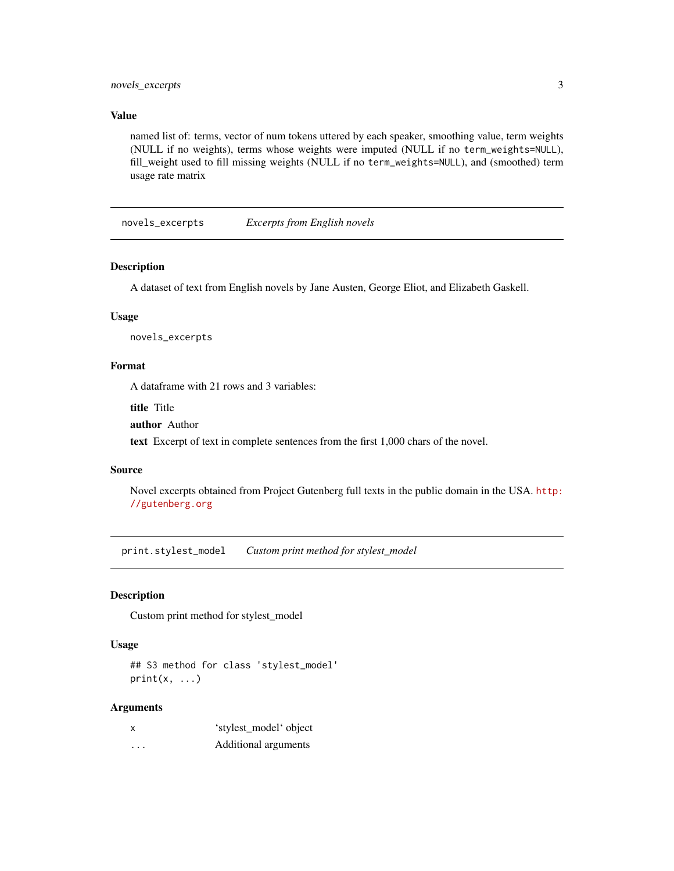#### <span id="page-2-0"></span>novels\_excerpts 3

#### Value

named list of: terms, vector of num tokens uttered by each speaker, smoothing value, term weights (NULL if no weights), terms whose weights were imputed (NULL if no term\_weights=NULL), fill\_weight used to fill missing weights (NULL if no term\_weights=NULL), and (smoothed) term usage rate matrix

novels\_excerpts *Excerpts from English novels*

#### Description

A dataset of text from English novels by Jane Austen, George Eliot, and Elizabeth Gaskell.

#### Usage

novels\_excerpts

#### Format

A dataframe with 21 rows and 3 variables:

title Title

author Author

text Excerpt of text in complete sentences from the first 1,000 chars of the novel.

#### Source

Novel excerpts obtained from Project Gutenberg full texts in the public domain in the USA. [http:](http://gutenberg.org) [//gutenberg.org](http://gutenberg.org)

print.stylest\_model *Custom print method for stylest\_model*

#### Description

Custom print method for stylest\_model

#### Usage

## S3 method for class 'stylest\_model'  $print(x, \ldots)$ 

#### Arguments

| X | 'stylest_model' object |
|---|------------------------|
| . | Additional arguments   |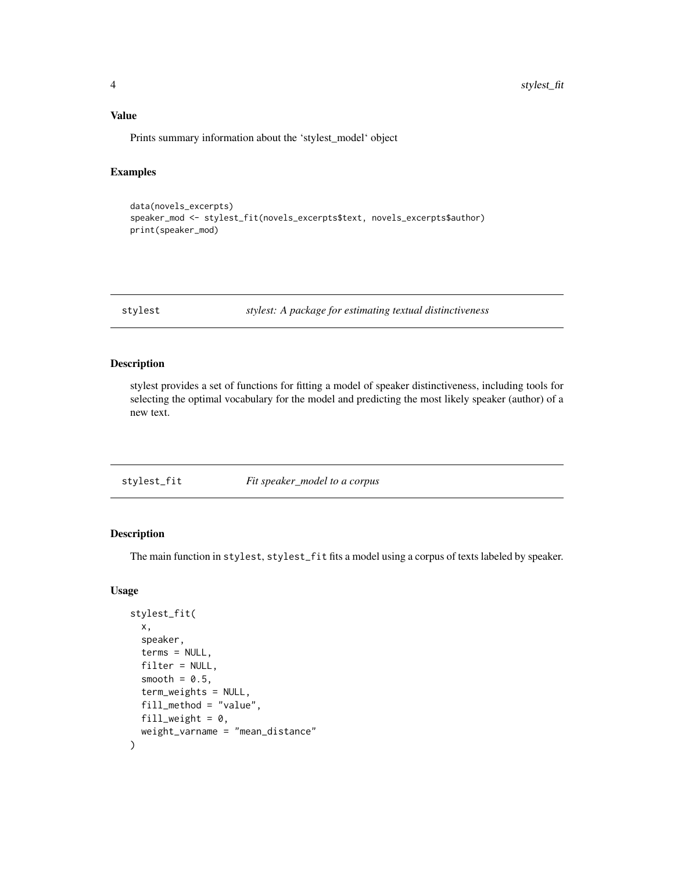<span id="page-3-0"></span>Prints summary information about the 'stylest\_model' object

#### Examples

```
data(novels_excerpts)
speaker_mod <- stylest_fit(novels_excerpts$text, novels_excerpts$author)
print(speaker_mod)
```
stylest *stylest: A package for estimating textual distinctiveness*

#### Description

stylest provides a set of functions for fitting a model of speaker distinctiveness, including tools for selecting the optimal vocabulary for the model and predicting the most likely speaker (author) of a new text.

| Fit speaker_model to a corpus<br>stylest_fit |
|----------------------------------------------|
|----------------------------------------------|

#### Description

The main function in stylest, stylest\_fit fits a model using a corpus of texts labeled by speaker.

#### Usage

```
stylest_fit(
  x,
  speaker,
  terms = NULL,
  filter = NULL,
  smooth = 0.5,
  term_weights = NULL,
  fill_method = "value",
  fill_weight = 0,
  weight_varname = "mean_distance"
)
```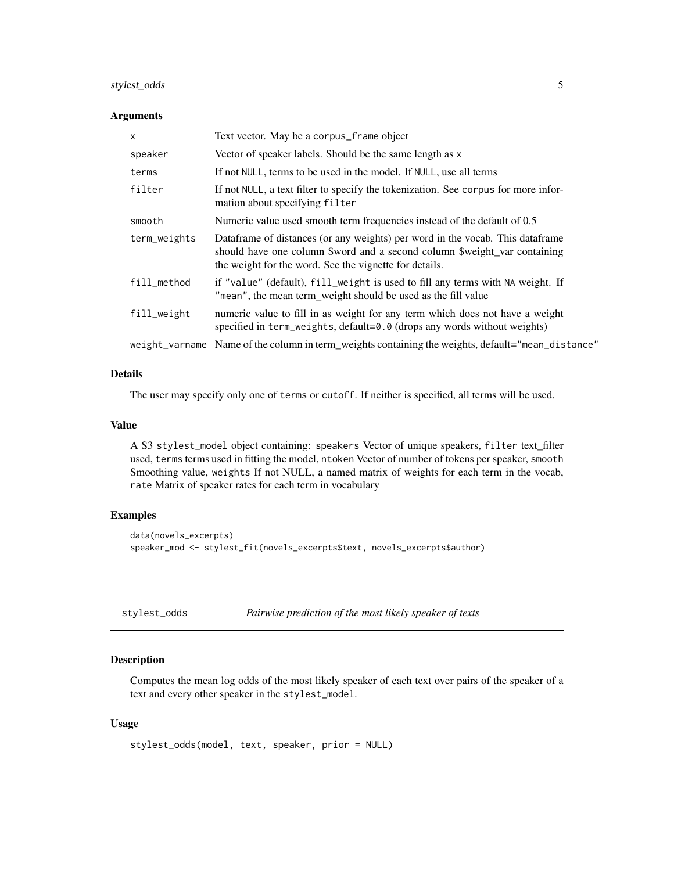#### <span id="page-4-0"></span>stylest\_odds 5

#### **Arguments**

| $\mathsf{x}$ | Text vector. May be a corpus_frame object                                                                                                                                                                            |
|--------------|----------------------------------------------------------------------------------------------------------------------------------------------------------------------------------------------------------------------|
| speaker      | Vector of speaker labels. Should be the same length as x                                                                                                                                                             |
| terms        | If not NULL, terms to be used in the model. If NULL, use all terms                                                                                                                                                   |
| filter       | If not NULL, a text filter to specify the tokenization. See corpus for more infor-<br>mation about specifying filter                                                                                                 |
| smooth       | Numeric value used smooth term frequencies instead of the default of 0.5                                                                                                                                             |
| term_weights | Dataframe of distances (or any weights) per word in the vocab. This dataframe<br>should have one column \$word and a second column \$weight_var containing<br>the weight for the word. See the vignette for details. |
| fill_method  | if "value" (default), fill_weight is used to fill any terms with NA weight. If<br>"mean", the mean term_weight should be used as the fill value                                                                      |
| fill_weight  | numeric value to fill in as weight for any term which does not have a weight<br>specified in term_weights, $default = 0.0$ (drops any words without weights)                                                         |
|              | weight_varname Name of the column in term_weights containing the weights, default="mean_distance"                                                                                                                    |

#### Details

The user may specify only one of terms or cutoff. If neither is specified, all terms will be used.

#### Value

A S3 stylest\_model object containing: speakers Vector of unique speakers, filter text\_filter used, terms terms used in fitting the model, ntoken Vector of number of tokens per speaker, smooth Smoothing value, weights If not NULL, a named matrix of weights for each term in the vocab, rate Matrix of speaker rates for each term in vocabulary

#### Examples

```
data(novels_excerpts)
speaker_mod <- stylest_fit(novels_excerpts$text, novels_excerpts$author)
```
stylest\_odds *Pairwise prediction of the most likely speaker of texts*

#### Description

Computes the mean log odds of the most likely speaker of each text over pairs of the speaker of a text and every other speaker in the stylest\_model.

#### Usage

```
stylest_odds(model, text, speaker, prior = NULL)
```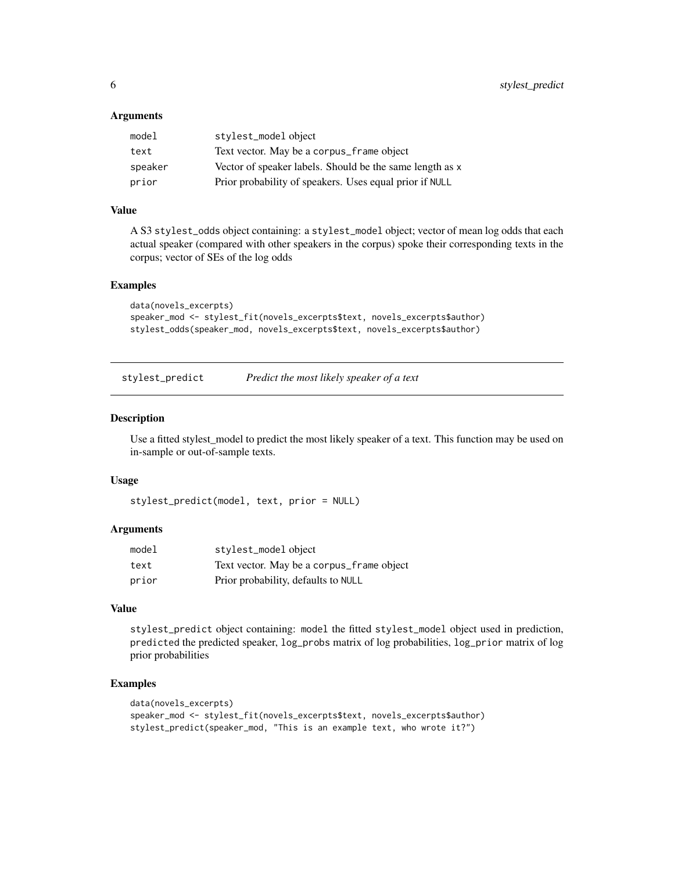#### <span id="page-5-0"></span>**Arguments**

| model   | stylest_model object                                     |
|---------|----------------------------------------------------------|
| text    | Text vector. May be a corpus_frame object                |
| speaker | Vector of speaker labels. Should be the same length as x |
| prior   | Prior probability of speakers. Uses equal prior if NULL  |

#### Value

A S3 stylest\_odds object containing: a stylest\_model object; vector of mean log odds that each actual speaker (compared with other speakers in the corpus) spoke their corresponding texts in the corpus; vector of SEs of the log odds

#### Examples

```
data(novels_excerpts)
speaker_mod <- stylest_fit(novels_excerpts$text, novels_excerpts$author)
stylest_odds(speaker_mod, novels_excerpts$text, novels_excerpts$author)
```
stylest\_predict *Predict the most likely speaker of a text*

#### Description

Use a fitted stylest\_model to predict the most likely speaker of a text. This function may be used on in-sample or out-of-sample texts.

#### Usage

```
stylest_predict(model, text, prior = NULL)
```
#### Arguments

| model | stylest_model object                      |
|-------|-------------------------------------------|
| text  | Text vector. May be a corpus_frame object |
| prior | Prior probability, defaults to NULL       |

#### Value

stylest\_predict object containing: model the fitted stylest\_model object used in prediction, predicted the predicted speaker, log\_probs matrix of log probabilities, log\_prior matrix of log prior probabilities

#### Examples

```
data(novels_excerpts)
speaker_mod <- stylest_fit(novels_excerpts$text, novels_excerpts$author)
stylest_predict(speaker_mod, "This is an example text, who wrote it?")
```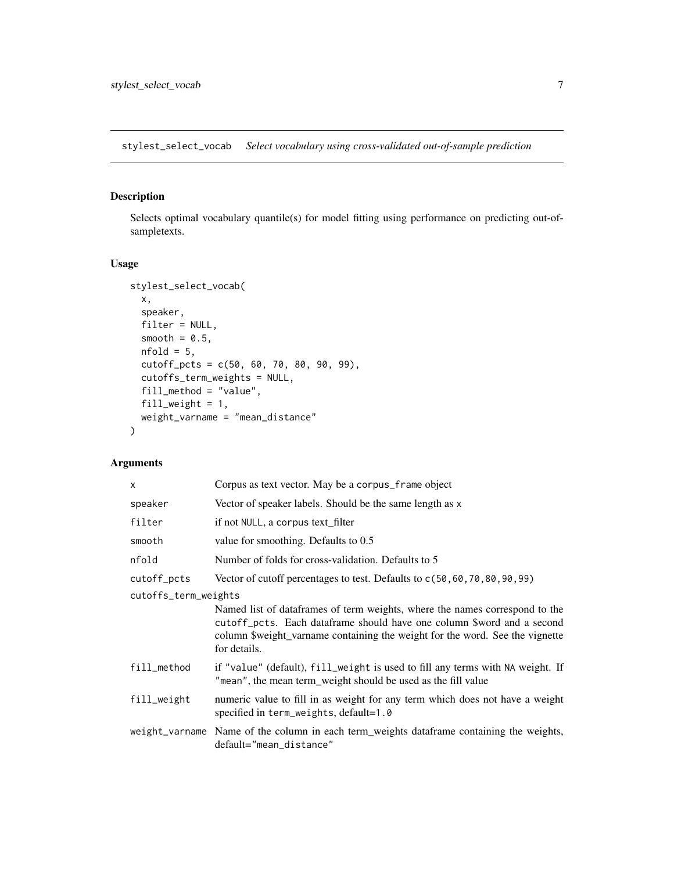<span id="page-6-0"></span>stylest\_select\_vocab *Select vocabulary using cross-validated out-of-sample prediction*

#### Description

Selects optimal vocabulary quantile(s) for model fitting using performance on predicting out-ofsampletexts.

#### Usage

```
stylest_select_vocab(
 x,
 speaker,
 filter = NULL,
 smooth = 0.5,
 nfold = 5,
 cutoff_pcts = c(50, 60, 70, 80, 90, 99),
 cutoffs_term_weights = NULL,
 fill_method = "value",
 fill_weight = 1,
 weight_varname = "mean_distance"
)
```
#### Arguments

| X                    | Corpus as text vector. May be a corpus_frame object                                                                                                                                                                                                   |
|----------------------|-------------------------------------------------------------------------------------------------------------------------------------------------------------------------------------------------------------------------------------------------------|
| speaker              | Vector of speaker labels. Should be the same length as x                                                                                                                                                                                              |
| filter               | if not NULL, a corpus text_filter                                                                                                                                                                                                                     |
| smooth               | value for smoothing. Defaults to 0.5                                                                                                                                                                                                                  |
| nfold                | Number of folds for cross-validation. Defaults to 5                                                                                                                                                                                                   |
| cutoff_pcts          | Vector of cutoff percentages to test. Defaults to $c(50, 60, 70, 80, 90, 99)$                                                                                                                                                                         |
| cutoffs_term_weights |                                                                                                                                                                                                                                                       |
|                      | Named list of dataframes of term weights, where the names correspond to the<br>cutoff pcts. Each dataframe should have one column \$word and a second<br>column \$weight_varname containing the weight for the word. See the vignette<br>for details. |
| fill_method          | if "value" (default), fill_weight is used to fill any terms with NA weight. If<br>"mean", the mean term_weight should be used as the fill value                                                                                                       |
| fill_weight          | numeric value to fill in as weight for any term which does not have a weight<br>specified in term_weights, default=1.0                                                                                                                                |
|                      | weight_varname Name of the column in each term_weights dataframe containing the weights,<br>default="mean_distance"                                                                                                                                   |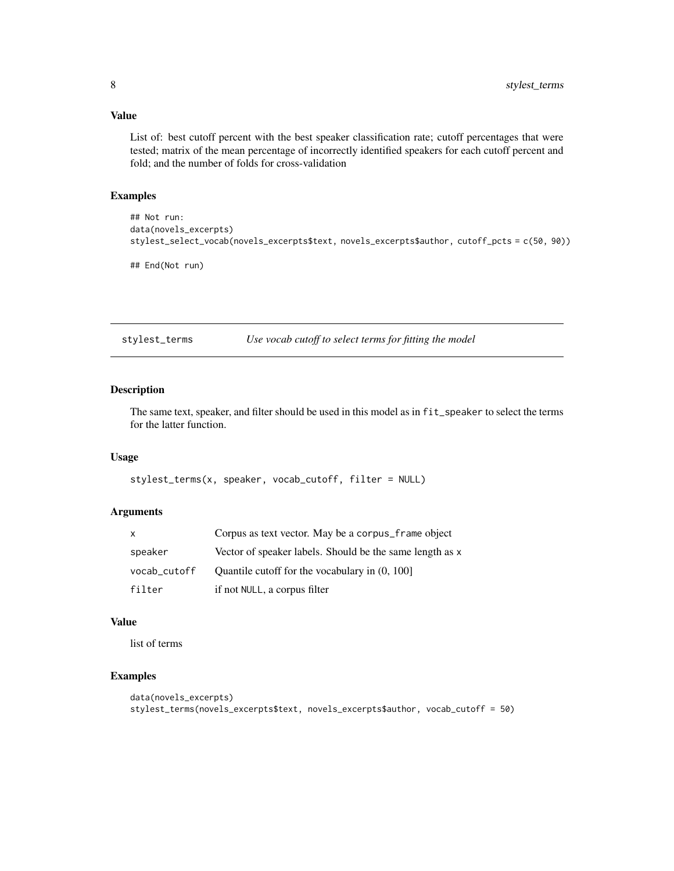#### <span id="page-7-0"></span>Value

List of: best cutoff percent with the best speaker classification rate; cutoff percentages that were tested; matrix of the mean percentage of incorrectly identified speakers for each cutoff percent and fold; and the number of folds for cross-validation

#### Examples

```
## Not run:
data(novels_excerpts)
stylest_select_vocab(novels_excerpts$text, novels_excerpts$author, cutoff_pcts = c(50, 90))
## End(Not run)
```
stylest\_terms *Use vocab cutoff to select terms for fitting the model*

#### Description

The same text, speaker, and filter should be used in this model as in fit\_speaker to select the terms for the latter function.

#### Usage

stylest\_terms(x, speaker, vocab\_cutoff, filter = NULL)

#### Arguments

| X            | Corpus as text vector. May be a corpus_frame object      |
|--------------|----------------------------------------------------------|
| speaker      | Vector of speaker labels. Should be the same length as x |
| vocab_cutoff | Quantile cutoff for the vocabulary in $(0, 100]$         |
| filter       | if not NULL, a corpus filter                             |

#### Value

list of terms

#### Examples

```
data(novels_excerpts)
stylest_terms(novels_excerpts$text, novels_excerpts$author, vocab_cutoff = 50)
```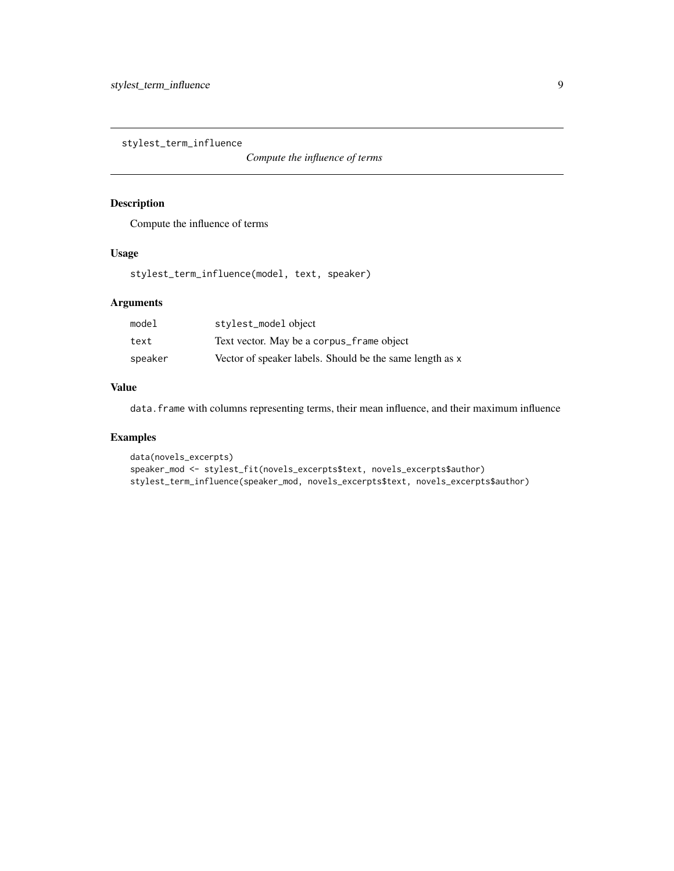<span id="page-8-0"></span>stylest\_term\_influence

*Compute the influence of terms*

#### Description

Compute the influence of terms

#### Usage

stylest\_term\_influence(model, text, speaker)

#### Arguments

| model   | stylest_model object                                     |
|---------|----------------------------------------------------------|
| text    | Text vector. May be a corpus_frame object                |
| speaker | Vector of speaker labels. Should be the same length as x |

#### Value

data. frame with columns representing terms, their mean influence, and their maximum influence

#### Examples

```
data(novels_excerpts)
speaker_mod <- stylest_fit(novels_excerpts$text, novels_excerpts$author)
stylest_term_influence(speaker_mod, novels_excerpts$text, novels_excerpts$author)
```